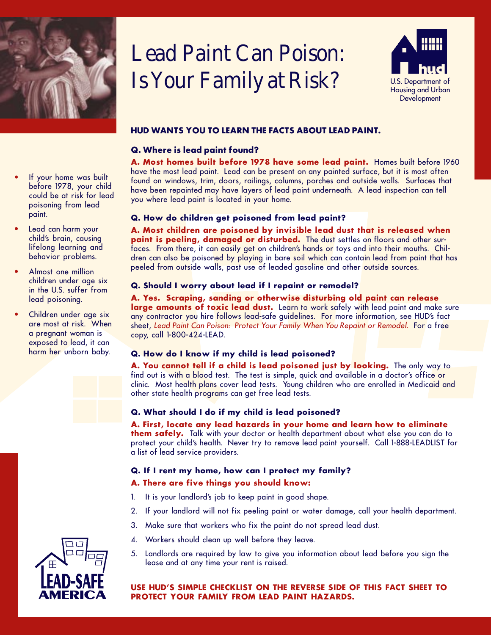

# Lead Paint Can Poison: Is Your Family at Risk?



# **HUD WANTS YOU TO LEARN THE FACTS ABOUT LEAD PAINT.**

## **Q. Where is lead paint found?**

**A. Most homes built before 1978 have some lead paint.** Homes built before 1960 have the most lead paint. Lead can be present on any painted surface, but it is most often found on windows, trim, doors, railings, columns, porches and outside walls. Surfaces that have been repainted may have layers of lead paint underneath. A lead inspection can tell you where lead paint is located in your home.

#### **Q. How do children get poisoned from lead paint?**

**A. Most children are poisoned by invisible lead dust that is released when paint is peeling, damaged or disturbed.** The dust settles on floors and other surfaces. From there, it can easily get on children's hands or toys and into their mouths. Children can also be poisoned by playing in bare soil which can contain lead from paint that has peeled from outside walls, past use of leaded gasoline and other outside sources.

#### **Q. Should I worry about lead if I repaint or remodel?**

**A. Yes. Scraping, sanding or otherwise disturbing old paint can release** large amounts of toxic lead dust. Learn to work safely with lead paint and make sure any contractor you hire follows lead-safe guidelines. For more information, see HUD's fact sheet, Lead Paint Can Poison: Protect Your Family When You Repaint or Remodel. For a free copy, call 1-800-424-LEAD.

## **Q. How do I know if my child is lead poisoned?**

**A. You cannot tell if a child is lead poisoned just by looking.** The only way to find out is with a blood test. The test is simple, quick and available in a doctor's office or clinic. Most health plans cover lead tests. Young children who are enrolled in Medicaid and other state health programs can get free lead tests.

#### **Q. What should I do if my child is lead poisoned?**

**A. First, locate any lead hazards in your home and learn how to eliminate them safely.** Talk with your doctor or health department about what else you can do to protect your child's health. Never try to remove lead paint yourself. Call 1-888-LEADLIST for a list of lead service providers.

## **Q. If I rent my home, how can I protect my family?**

#### **A. There are five things you should know:**

- 1. It is your landlord's job to keep paint in good shape.
- 2. If your landlord will not fix peeling paint or water damage, call your health department.
- 3. Make sure that workers who fix the paint do not spread lead dust.
- 4. Workers should clean up well before they leave.
- 5. Landlords are required by law to give you information about lead before you sign the lease and at any time your rent is raised.

#### **USE HUD'S SIMPLE CHECKLIST ON THE REVERSE SIDE OF THIS FACT SHEET TO PROTECT YOUR FAMILY FROM LEAD PAINT HAZARDS.**

**•** If your home was built before 1978, your child could be at risk for lead poisoning from lead paint.

- **•** Lead can harm your child's brain, causing lifelong learning and behavior problems.
- **•** Almost one million children under age six in the U.S. suffer from lead poisoning.
- **•** Children under age six are most at risk. When a pregnant woman is exposed to lead, it can harm her unborn baby.